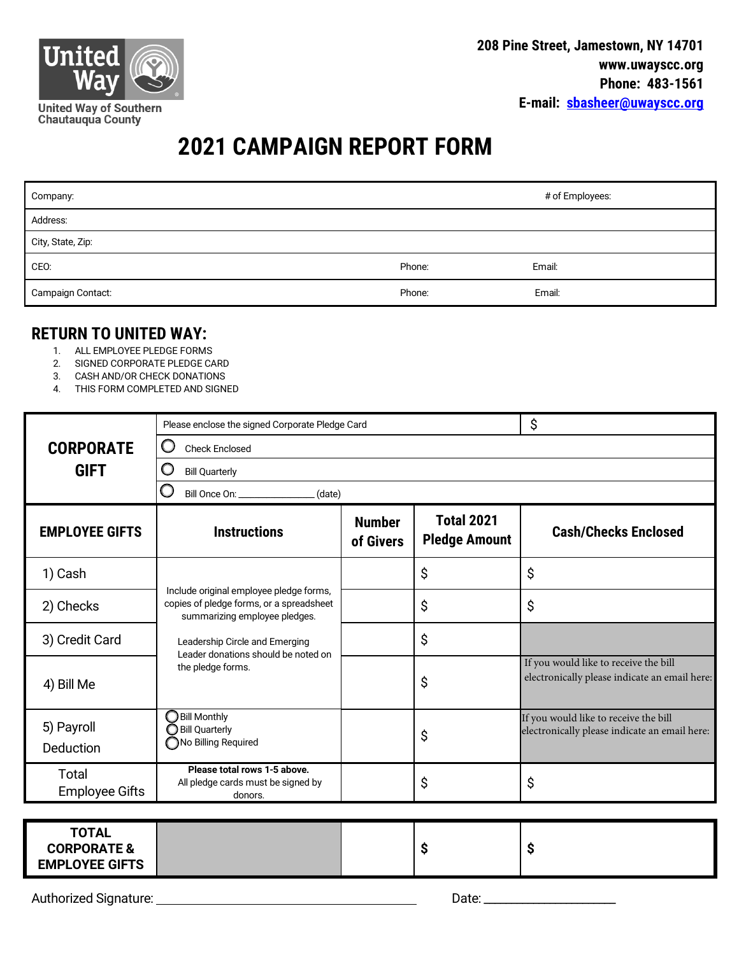

## **2021 CAMPAIGN REPORT FORM**

| Company:          |        | # of Employees: |
|-------------------|--------|-----------------|
| Address:          |        |                 |
| City, State, Zip: |        |                 |
| CEO:              | Phone: | Email:          |
| Campaign Contact: | Phone: | Email:          |

## **RETURN TO UNITED WAY:**

- 1. ALL EMPLOYEE PLEDGE FORMS
- 2. SIGNED CORPORATE PLEDGE CARD
- 3. CASH AND/OR CHECK DONATIONS
- 4. THIS FORM COMPLETED AND SIGNED

|                                                                 | Please enclose the signed Corporate Pledge Card                                                                                                                                                                    |                            |                                           | \$                                                                                     |  |
|-----------------------------------------------------------------|--------------------------------------------------------------------------------------------------------------------------------------------------------------------------------------------------------------------|----------------------------|-------------------------------------------|----------------------------------------------------------------------------------------|--|
| <b>CORPORATE</b>                                                | O<br><b>Check Enclosed</b>                                                                                                                                                                                         |                            |                                           |                                                                                        |  |
| <b>GIFT</b>                                                     | O<br><b>Bill Quarterly</b>                                                                                                                                                                                         |                            |                                           |                                                                                        |  |
|                                                                 | Bill Once On:<br>(date)                                                                                                                                                                                            |                            |                                           |                                                                                        |  |
| <b>EMPLOYEE GIFTS</b>                                           | <b>Instructions</b>                                                                                                                                                                                                | <b>Number</b><br>of Givers | <b>Total 2021</b><br><b>Pledge Amount</b> | <b>Cash/Checks Enclosed</b>                                                            |  |
| 1) Cash                                                         | Include original employee pledge forms,<br>copies of pledge forms, or a spreadsheet<br>summarizing employee pledges.<br>Leadership Circle and Emerging<br>Leader donations should be noted on<br>the pledge forms. |                            | \$                                        | \$                                                                                     |  |
| 2) Checks                                                       |                                                                                                                                                                                                                    |                            | \$                                        | \$                                                                                     |  |
| 3) Credit Card                                                  |                                                                                                                                                                                                                    |                            | \$                                        |                                                                                        |  |
| 4) Bill Me                                                      |                                                                                                                                                                                                                    |                            | \$                                        | If you would like to receive the bill<br>electronically please indicate an email here: |  |
| 5) Payroll<br>Deduction                                         | <b>Bill Monthly</b><br><b>Bill Quarterly</b><br>No Billing Required                                                                                                                                                |                            | \$                                        | If you would like to receive the bill<br>electronically please indicate an email here: |  |
| Total<br><b>Employee Gifts</b>                                  | Please total rows 1-5 above.<br>All pledge cards must be signed by<br>donors.                                                                                                                                      |                            | \$                                        | \$                                                                                     |  |
|                                                                 |                                                                                                                                                                                                                    |                            |                                           |                                                                                        |  |
| <b>TOTAL</b><br><b>CORPORATE &amp;</b><br><b>EMPLOYEE GIFTS</b> |                                                                                                                                                                                                                    |                            | \$                                        | \$                                                                                     |  |